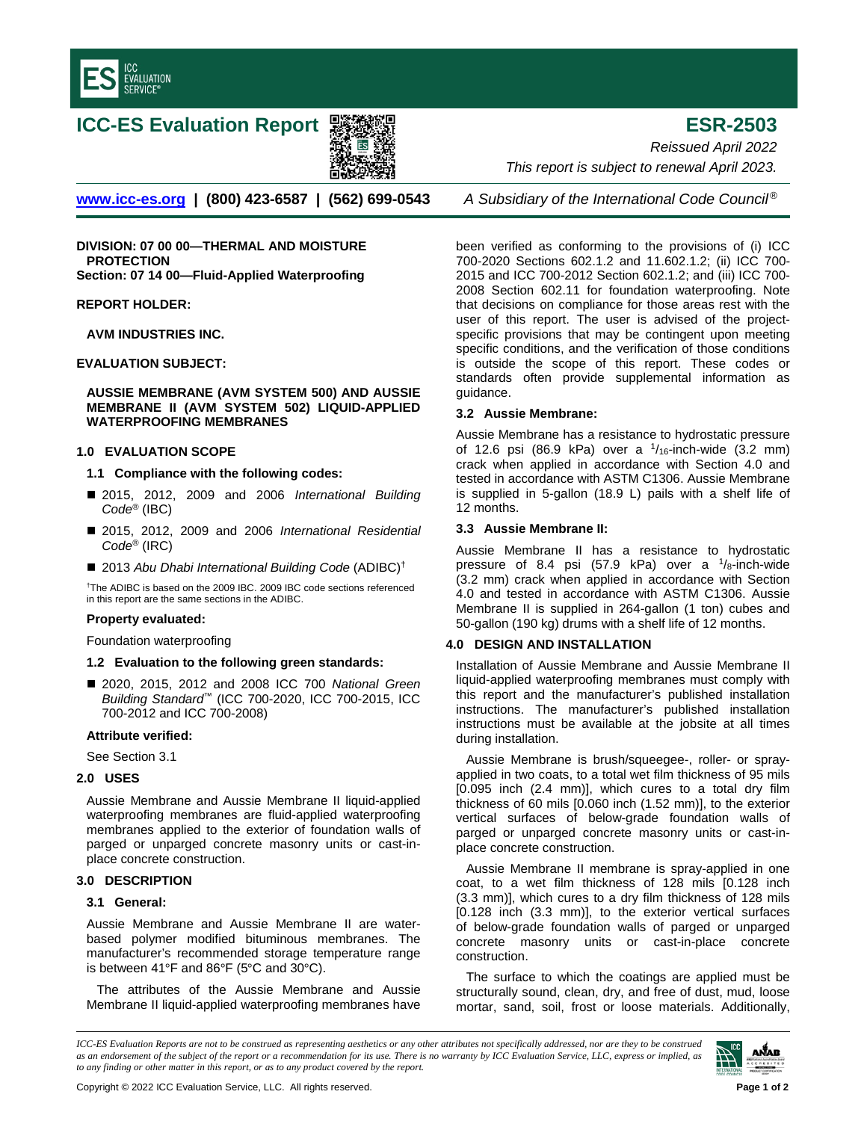

# **ICC-ES Evaluation Report ESR-2503**



**[www.icc-es.org](http://www.icc-es.org/) | (800) 423-6587 | (562) 699-0543** *A Subsidiary of the International Code Council ®*

**DIVISION: 07 00 00—THERMAL AND MOISTURE PROTECTION Section: 07 14 00—Fluid-Applied Waterproofing**

## **REPORT HOLDER:**

**AVM INDUSTRIES INC.**

# **EVALUATION SUBJECT:**

## **AUSSIE MEMBRANE (AVM SYSTEM 500) AND AUSSIE MEMBRANE II (AVM SYSTEM 502) LIQUID-APPLIED WATERPROOFING MEMBRANES**

## **1.0 EVALUATION SCOPE**

## **1.1 Compliance with the following codes:**

- 2015, 2012, 2009 and 2006 *International Building Code*® (IBC)
- 2015, 2012, 2009 and 2006 *International Residential Code*® (IRC)
- 2013 Abu Dhabi International Building Code (ADIBC)<sup>†</sup>

†The ADIBC is based on the 2009 IBC. 2009 IBC code sections referenced in this report are the same sections in the ADIBC.

## **Property evaluated:**

Foundation waterproofing

## **1.2 Evaluation to the following green standards:**

■ 2020, 2015, 2012 and 2008 ICC 700 *National Green Building Standard*™ (ICC 700-2020, ICC 700-2015, ICC 700-2012 and ICC 700-2008)

## **Attribute verified:**

See Section 3.1

# **2.0 USES**

Aussie Membrane and Aussie Membrane II liquid-applied waterproofing membranes are fluid-applied waterproofing membranes applied to the exterior of foundation walls of parged or unparged concrete masonry units or cast-inplace concrete construction.

## **3.0 DESCRIPTION**

## **3.1 General:**

Aussie Membrane and Aussie Membrane II are waterbased polymer modified bituminous membranes. The manufacturer's recommended storage temperature range is between 41°F and 86°F (5°C and 30°C).

The attributes of the Aussie Membrane and Aussie Membrane II liquid-applied waterproofing membranes have

*Reissued April 2022 This report is subject to renewal April 2023.* 

been verified as conforming to the provisions of (i) ICC 700-2020 Sections 602.1.2 and 11.602.1.2; (ii) ICC 700- 2015 and ICC 700-2012 Section 602.1.2; and (iii) ICC 700- 2008 Section 602.11 for foundation waterproofing. Note that decisions on compliance for those areas rest with the user of this report. The user is advised of the projectspecific provisions that may be contingent upon meeting specific conditions, and the verification of those conditions is outside the scope of this report. These codes or standards often provide supplemental information as guidance.

## **3.2 Aussie Membrane:**

Aussie Membrane has a resistance to hydrostatic pressure of 12.6 psi (86.9 kPa) over a  $1/16$ -inch-wide (3.2 mm) crack when applied in accordance with Section 4.0 and tested in accordance with ASTM C1306. Aussie Membrane is supplied in 5-gallon (18.9 L) pails with a shelf life of 12 months.

## **3.3 Aussie Membrane II:**

Aussie Membrane II has a resistance to hydrostatic pressure of 8.4 psi (57.9 kPa) over a  $\frac{1}{8}$ -inch-wide (3.2 mm) crack when applied in accordance with Section 4.0 and tested in accordance with ASTM C1306. Aussie Membrane II is supplied in 264-gallon (1 ton) cubes and 50-gallon (190 kg) drums with a shelf life of 12 months.

## **4.0 DESIGN AND INSTALLATION**

Installation of Aussie Membrane and Aussie Membrane II liquid-applied waterproofing membranes must comply with this report and the manufacturer's published installation instructions. The manufacturer's published installation instructions must be available at the jobsite at all times during installation.

Aussie Membrane is brush/squeegee-, roller- or sprayapplied in two coats, to a total wet film thickness of 95 mils [0.095 inch (2.4 mm)], which cures to a total dry film thickness of 60 mils [0.060 inch (1.52 mm)], to the exterior vertical surfaces of below-grade foundation walls of parged or unparged concrete masonry units or cast-inplace concrete construction.

Aussie Membrane II membrane is spray-applied in one coat, to a wet film thickness of 128 mils [0.128 inch (3.3 mm)], which cures to a dry film thickness of 128 mils [0.128 inch (3.3 mm)], to the exterior vertical surfaces of below-grade foundation walls of parged or unparged concrete masonry units or cast-in-place concrete construction.

The surface to which the coatings are applied must be structurally sound, clean, dry, and free of dust, mud, loose mortar, sand, soil, frost or loose materials. Additionally,

*ICC-ES Evaluation Reports are not to be construed as representing aesthetics or any other attributes not specifically addressed, nor are they to be construed as an endorsement of the subject of the report or a recommendation for its use. There is no warranty by ICC Evaluation Service, LLC, express or implied, as to any finding or other matter in this report, or as to any product covered by the report.*